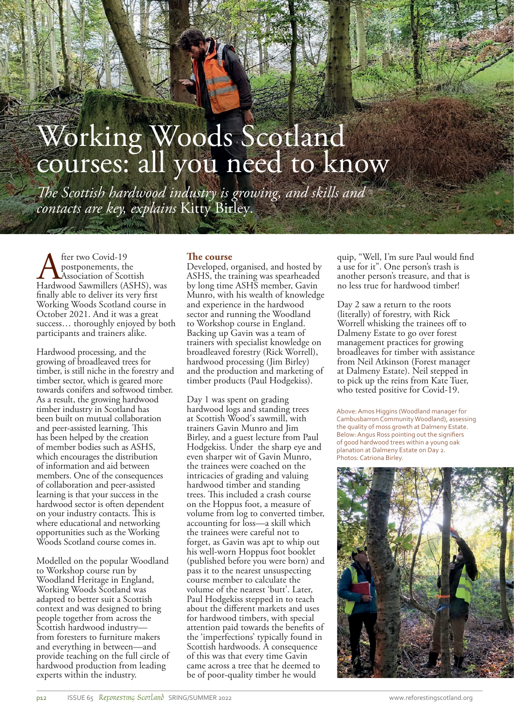# Working Woods Scotland courses: all you need to know

*The Scottish hardwood industry is growing, and skills and contacts are key, explains* Kitty Birley*.*

**A** fter two Covid-19<br>postponements, th<br>Hardwood Sawmillers (A postponements, the Association of Scottish Hardwood Sawmillers (ASHS), was finally able to deliver its very first Working Woods Scotland course in October 2021. And it was a great success… thoroughly enjoyed by both participants and trainers alike.

HALF-WILD SCOTLAND

Hardwood processing, and the growing of broadleaved trees for timber, is still niche in the forestry and timber sector, which is geared more towards conifers and softwood timber. As a result, the growing hardwood timber industry in Scotland has been built on mutual collaboration and peer-assisted learning. This has been helped by the creation of member bodies such as ASHS, which encourages the distribution of information and aid between members. One of the consequences of collaboration and peer-assisted learning is that your success in the hardwood sector is often dependent on your industry contacts. This is where educational and networking opportunities such as the Working Woods Scotland course comes in.

Modelled on the popular Woodland to Workshop course run by Woodland Heritage in England, Working Woods Scotland was adapted to better suit a Scottish context and was designed to bring people together from across the Scottish hardwood industry from foresters to furniture makers and everything in between—and provide teaching on the full circle of hardwood production from leading experts within the industry.

## **The course**

Developed, organised, and hosted by ASHS, the training was spearheaded by long time ASHS member, Gavin Munro, with his wealth of knowledge and experience in the hardwood sector and running the Woodland to Workshop course in England. Backing up Gavin was a team of trainers with specialist knowledge on broadleaved forestry (Rick Worrell), hardwood processing (Jim Birley) and the production and marketing of timber products (Paul Hodgekiss).

Day 1 was spent on grading hardwood logs and standing trees at Scottish Wood's sawmill, with trainers Gavin Munro and Jim Birley, and a guest lecture from Paul Hodgekiss. Under the sharp eye and even sharper wit of Gavin Munro, the trainees were coached on the intricacies of grading and valuing hardwood timber and standing trees. This included a crash course on the Hoppus foot, a measure of volume from log to converted timber, accounting for loss—a skill which the trainees were careful not to forget, as Gavin was apt to whip out his well-worn Hoppus foot booklet (published before you were born) and pass it to the nearest unsuspecting course member to calculate the volume of the nearest 'butt'. Later, Paul Hodgekiss stepped in to teach about the different markets and uses for hardwood timbers, with special attention paid towards the benefits of the 'imperfections' typically found in Scottish hardwoods. A consequence of this was that every time Gavin came across a tree that he deemed to be of poor-quality timber he would

quip, "Well, I'm sure Paul would find a use for it". One person's trash is another person's treasure, and that is no less true for hardwood timber!

Day 2 saw a return to the roots (literally) of forestry, with Rick Worrell whisking the trainees off to Dalmeny Estate to go over forest management practices for growing broadleaves for timber with assistance from Neil Atkinson (Forest manager at Dalmeny Estate). Neil stepped in to pick up the reins from Kate Tuer, who tested positive for Covid-19.

Above: Amos Higgins (Woodland manager for Cambusbarron Community Woodland), assessing the quality of moss growth at Dalmeny Estate. Below: Angus Ross pointing out the signifiers of good hardwood trees within a young oak planation at Dalmeny Estate on Day 2. .<br>Photos: Catriona Birley.